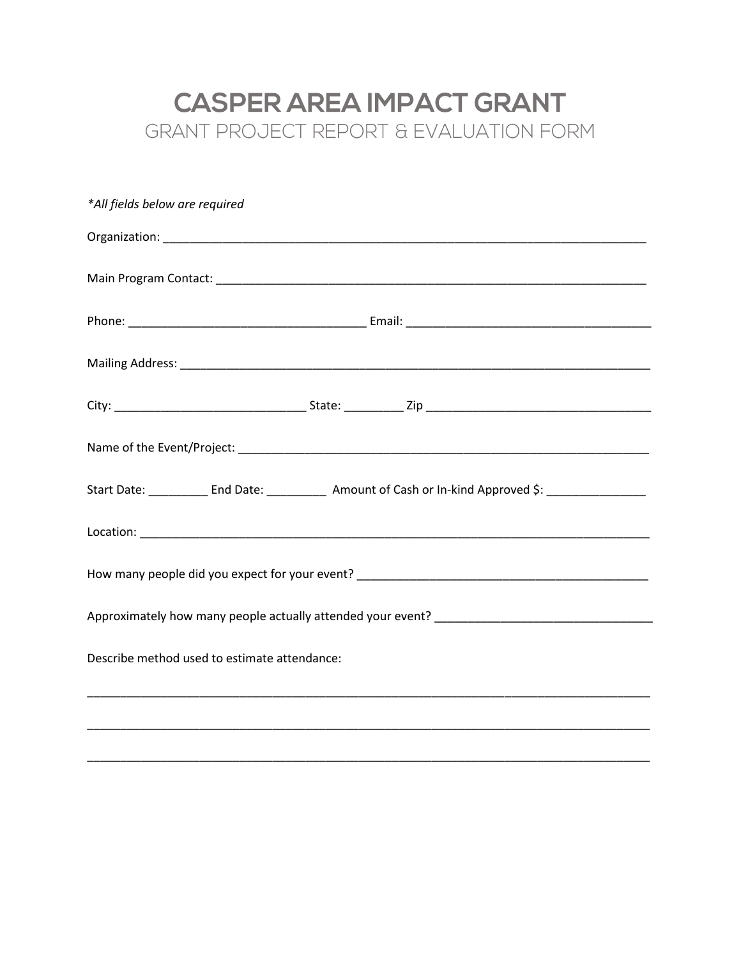## **CASPER AREA IMPACT GRANT** GRANT PROJECT REPORT & EVALUATION FORM

| *All fields below are required                                                                                        |  |  |  |  |
|-----------------------------------------------------------------------------------------------------------------------|--|--|--|--|
|                                                                                                                       |  |  |  |  |
|                                                                                                                       |  |  |  |  |
|                                                                                                                       |  |  |  |  |
|                                                                                                                       |  |  |  |  |
|                                                                                                                       |  |  |  |  |
|                                                                                                                       |  |  |  |  |
| Start Date: ____________ End Date: _____________ Amount of Cash or In-kind Approved \$: _____________                 |  |  |  |  |
|                                                                                                                       |  |  |  |  |
|                                                                                                                       |  |  |  |  |
|                                                                                                                       |  |  |  |  |
| Describe method used to estimate attendance:                                                                          |  |  |  |  |
| <u> 1989 - Johann Harry Harry Harry Harry Harry Harry Harry Harry Harry Harry Harry Harry Harry Harry Harry Harry</u> |  |  |  |  |
|                                                                                                                       |  |  |  |  |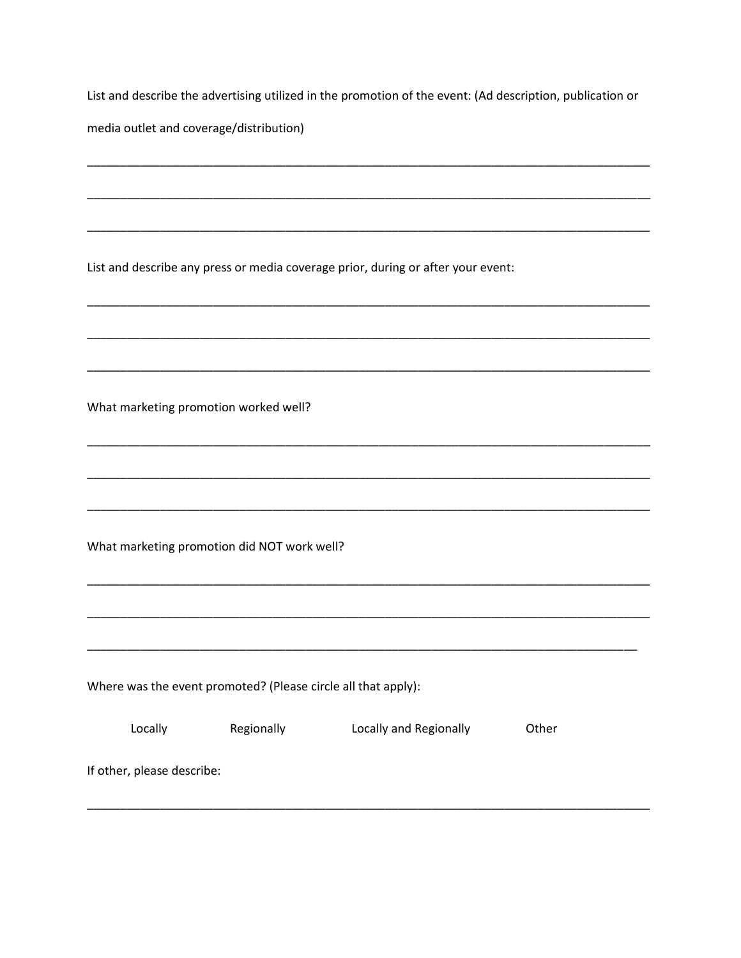List and describe the advertising utilized in the promotion of the event: (Ad description, publication or

media outlet and coverage/distribution)

List and describe any press or media coverage prior, during or after your event:

What marketing promotion worked well?

What marketing promotion did NOT work well?

Where was the event promoted? (Please circle all that apply):

| Locally                    | Regionally | Locally and Regionally | Other |
|----------------------------|------------|------------------------|-------|
| If other, please describe: |            |                        |       |
|                            |            |                        |       |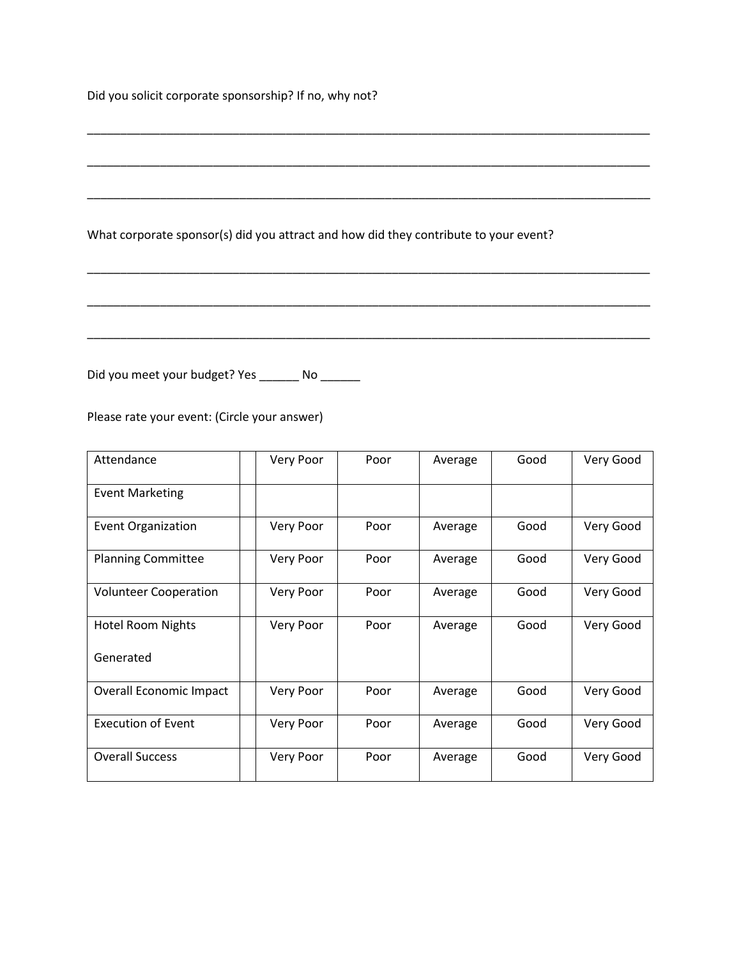Did you solicit corporate sponsorship? If no, why not?

| What corporate sponsor(s) did you attract and how did they contribute to your event? |
|--------------------------------------------------------------------------------------|
|                                                                                      |
|                                                                                      |

\_\_\_\_\_\_\_\_\_\_\_\_\_\_\_\_\_\_\_\_\_\_\_\_\_\_\_\_\_\_\_\_\_\_\_\_\_\_\_\_\_\_\_\_\_\_\_\_\_\_\_\_\_\_\_\_\_\_\_\_\_\_\_\_\_\_\_\_\_\_\_\_\_\_\_\_\_\_\_\_\_\_\_\_\_

Did you meet your budget? Yes \_\_\_\_\_\_ No \_\_\_\_\_\_

Please rate your event: (Circle your answer)

| Attendance                   | Very Poor | Poor | Average | Good | Very Good |
|------------------------------|-----------|------|---------|------|-----------|
| <b>Event Marketing</b>       |           |      |         |      |           |
| <b>Event Organization</b>    | Very Poor | Poor | Average | Good | Very Good |
| <b>Planning Committee</b>    | Very Poor | Poor | Average | Good | Very Good |
| <b>Volunteer Cooperation</b> | Very Poor | Poor | Average | Good | Very Good |
| <b>Hotel Room Nights</b>     | Very Poor | Poor | Average | Good | Very Good |
| Generated                    |           |      |         |      |           |
| Overall Economic Impact      | Very Poor | Poor | Average | Good | Very Good |
| <b>Execution of Event</b>    | Very Poor | Poor | Average | Good | Very Good |
| <b>Overall Success</b>       | Very Poor | Poor | Average | Good | Very Good |